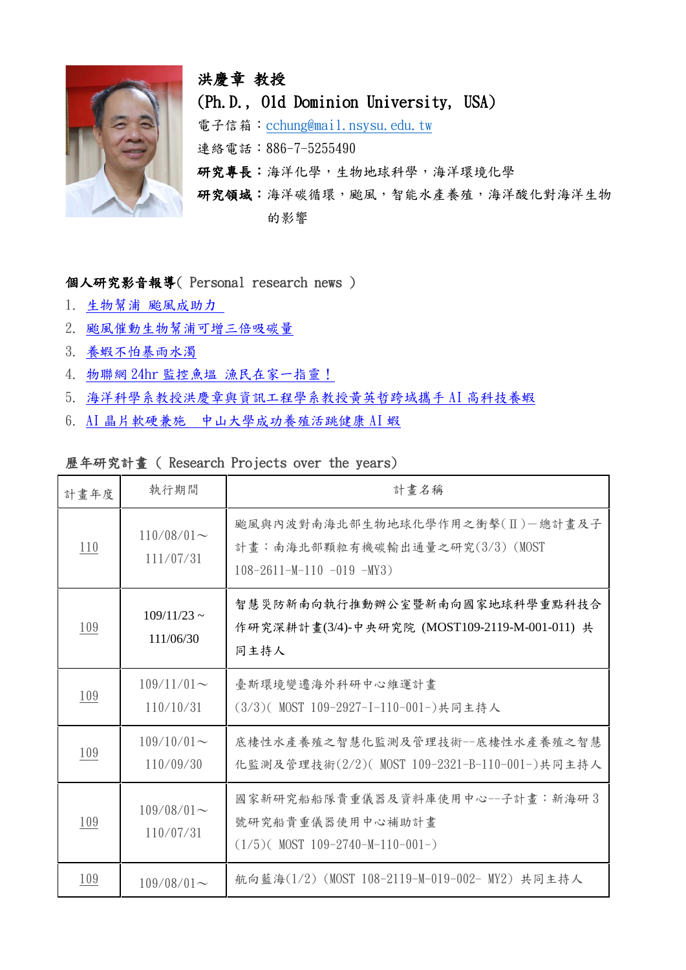

# 洪慶章 教授 (Ph.D., Old Dominion University, USA) 電子信箱: [cchung@mail.nsysu.edu.tw](mailto:cchung@mail.nsysu.edu.tw) 連絡電話:886-7-5255490 研究專長:海洋化學,生物地球科學,海洋環境化學 研究領域:海洋碳循環,颱風,智能水產養殖,海洋酸化對海洋生物 的影響

### 個人研究影音報導( Personal research news )

- 1. 生物幫浦 [颱風成助力](https://www.youtube.com/watch?v=EXuQXqa2Spk)
- 2. [颱風催動生物幫浦可增三倍吸碳量](https://www.youtube.com/watch?v=X-ZmxYHIhZw)
- 3. [養蝦不怕暴雨水濁](https://www.youtube.com/watch?v=mvWA7glw7aw)
- 4. 物聯網 24hr 監控魚塭 [漁民在家一指靈!](https://www.youtube.com/watch?v=oN0F_pxhhs8)
- 5. [海洋科學系教授洪慶章與資訊工程學系教授黃英哲跨域攜手](https://youtu.be/xoOZmXDpT7c) AI 高科技養蝦
- 6. AI 晶片軟硬兼施 [中山大學成功養殖活跳健康](https://www.facebook.com/www.nsysu.edu.tw/videos/1257386317744992/) AI 蝦

### 歷年研究計畫 ( Research Projects over the years)

| 計畫年度 | 執行期間                       | 計畫名稱                                                                                                    |
|------|----------------------------|---------------------------------------------------------------------------------------------------------|
| 110  | $110/08/01$ ~<br>111/07/31 | 颱風與內波對南海北部生物地球化學作用之衝擊(II)-總計畫及子<br>計畫:南海北部顆粒有機碳輸出通量之研究(3/3) (MOST<br>$108 - 2611 - M - 110 - 019 - MY3$ |
| 109  | $109/11/23$ ~<br>111/06/30 | 智慧災防新南向執行推動辦公室暨新南向國家地球科學重點科技合<br>作研究深耕計畫(3/4)-中央研究院 (MOST109-2119-M-001-011) 共<br>同主持人                  |
| 109  | $109/11/01$ ~<br>110/10/31 | 臺斯環境變遷海外科研中心維運計書<br>(3/3)( MOST 109-2927-I-110-001-)共同主持人                                               |
| 109  | $109/10/01$ ~<br>110/09/30 | 底棲性水產養殖之智慧化監測及管理技術一底棲性水產養殖之智慧<br>化監測及管理技術(2/2)( MOST 109-2321-B-110-001-)共同主持人                          |
| 109  | $109/08/01$ ~<br>110/07/31 | 國家新研究船船隊貴重儀器及資料庫使用中心--子計畫:新海研3<br>號研究船貴重儀器使用中心補助計畫<br>$(1/5)$ (MOST 109-2740-M-110-001-)                |
| 109  | $109/08/01$ ~              | 航向藍海(1/2) (MOST 108-2119-M-019-002- MY2) 共同主持人                                                          |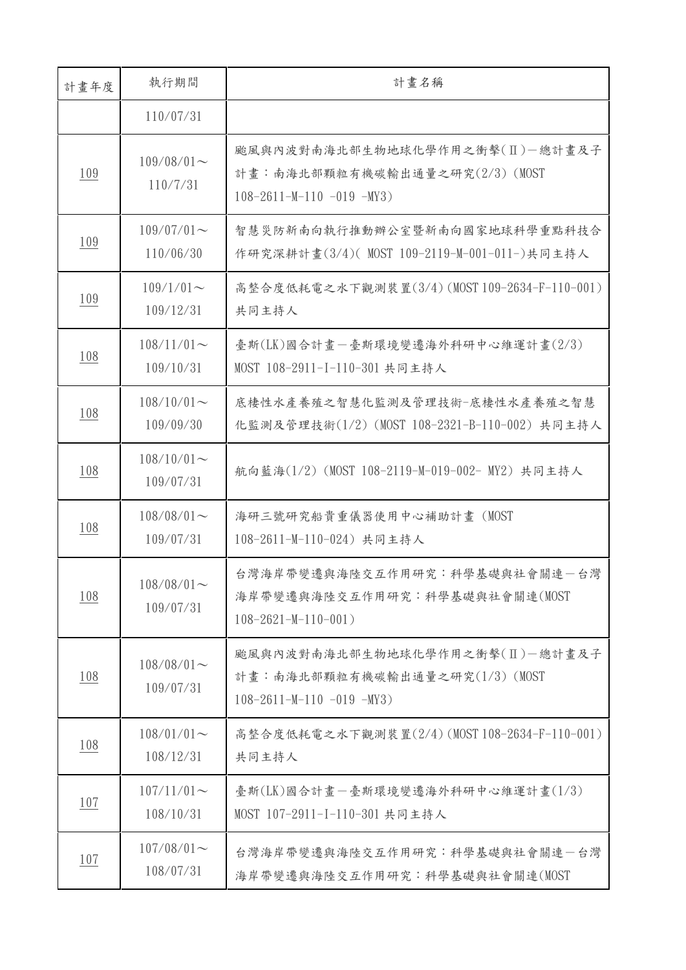| 計畫年度       | 執行期間                       | 計畫名稱                                                                                                    |
|------------|----------------------------|---------------------------------------------------------------------------------------------------------|
|            | 110/07/31                  |                                                                                                         |
| 109        | $109/08/01$ ~<br>110/7/31  | 颱風與內波對南海北部生物地球化學作用之衝擊(Ⅱ)-總計書及子<br>計畫:南海北部顆粒有機碳輸出通量之研究(2/3) (MOST<br>$108 - 2611 - M - 110 - 019 - MY3$  |
| <u>109</u> | $109/07/01$ ~<br>110/06/30 | 智慧災防新南向執行推動辦公室暨新南向國家地球科學重點科技合<br>作研究深耕計畫(3/4)( MOST 109-2119-M-001-011-)共同主持人                           |
| <u>109</u> | $109/1/01$ ~<br>109/12/31  | 高整合度低耗電之水下觀測裝置(3/4) (MOST 109-2634-F-110-001)<br>共同主持人                                                  |
| 108        | $108/11/01$ ~<br>109/10/31 | 臺斯(LK)國合計畫-臺斯環境變遷海外科研中心維運計畫(2/3)<br>MOST 108-2911-I-110-301 共同主持人                                       |
| <u>108</u> | $108/10/01$ ~<br>109/09/30 | 底棲性水產養殖之智慧化監測及管理技術-底棲性水產養殖之智慧<br>化監測及管理技術(1/2) (MOST 108-2321-B-110-002) 共同主持人                          |
| 108        | $108/10/01$ ~<br>109/07/31 | 航向藍海(1/2) (MOST 108-2119-M-019-002- MY2) 共同主持人                                                          |
| 108        | $108/08/01$ ~<br>109/07/31 | 海研三號研究船貴重儀器使用中心補助計畫 (MOST<br>108-2611-M-110-024) 共同主持人                                                  |
| 108        | $108/08/01$ ~<br>109/07/31 | 台灣海岸帶變遷與海陸交互作用研究:科學基礎與社會關連一台灣<br>海岸帶變遷與海陸交互作用研究:科學基礎與社會關連(MOST<br>$108 - 2621 - M - 110 - 001$          |
| <u>108</u> | $108/08/01$ ~<br>109/07/31 | 颱風與內波對南海北部生物地球化學作用之衝擊(II)-總計畫及子<br>計畫:南海北部顆粒有機碳輸出通量之研究(1/3) (MOST<br>$108 - 2611 - M - 110 - 019 - MY3$ |
| 108        | $108/01/01$ ~<br>108/12/31 | 高整合度低耗電之水下觀測裝置(2/4) (MOST 108-2634-F-110-001)<br>共同主持人                                                  |
| <u>107</u> | $107/11/01$ ~<br>108/10/31 | 臺斯(LK)國合計畫-臺斯環境變遷海外科研中心維運計畫(1/3)<br>MOST 107-2911-I-110-301 共同主持人                                       |
| <u>107</u> | $107/08/01$ ~<br>108/07/31 | 台灣海岸帶變遷與海陸交互作用研究:科學基礎與社會關連一台灣<br>海岸帶變遷與海陸交互作用研究:科學基礎與社會關連(MOST                                          |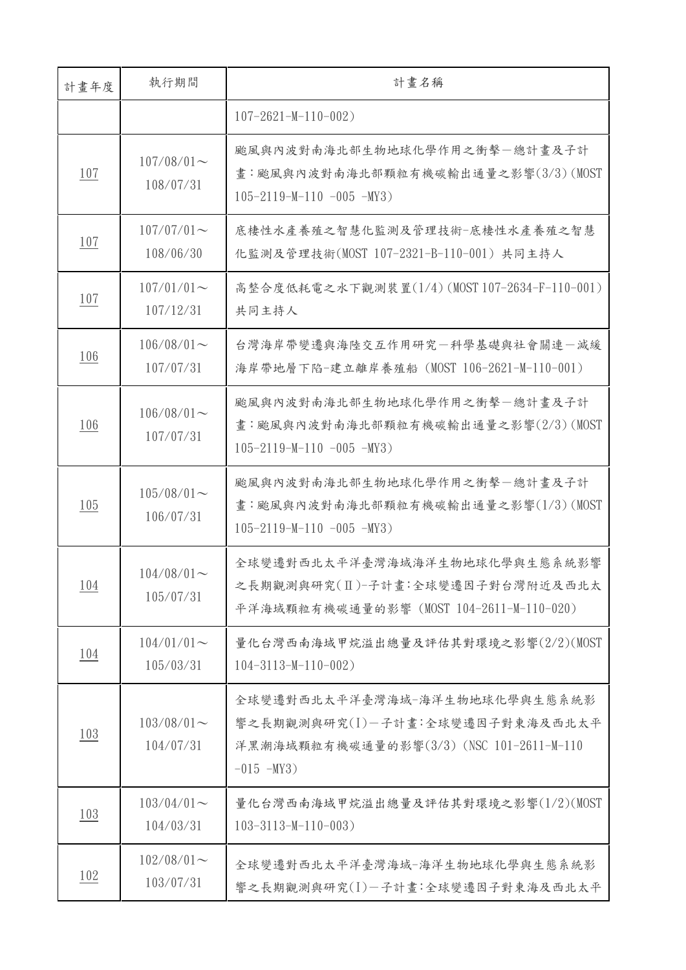| 計畫年度       | 執行期間                       | 計畫名稱                                                                                                                            |
|------------|----------------------------|---------------------------------------------------------------------------------------------------------------------------------|
|            |                            | $107 - 2621 - M - 110 - 002$                                                                                                    |
| <u>107</u> | $107/08/01$ ~<br>108/07/31 | 颱風與內波對南海北部生物地球化學作用之衝擊一總計書及子計<br>畫:颱風與內波對南海北部顆粒有機碳輸出通量之影響(3/3) (MOST<br>$105 - 2119 - M - 110 - 005 - MY3$                       |
| <u>107</u> | $107/07/01$ ~<br>108/06/30 | 底棲性水產養殖之智慧化監測及管理技術-底棲性水產養殖之智慧<br>化監測及管理技術(MOST 107-2321-B-110-001) 共同主持人                                                        |
| <u>107</u> | $107/01/01$ ~<br>107/12/31 | 高整合度低耗電之水下觀測裝置(1/4) (MOST 107-2634-F-110-001)<br>共同主持人                                                                          |
| <u>106</u> | $106/08/01$ ~<br>107/07/31 | 台灣海岸帶變遷與海陸交互作用研究一科學基礎與社會關連一減緩<br>海岸帶地層下陷-建立離岸養殖船 (MOST 106-2621-M-110-001)                                                      |
| 106        | $106/08/01$ ~<br>107/07/31 | 颱風與內波對南海北部生物地球化學作用之衝擊一總計畫及子計<br>畫:颱風與內波對南海北部顆粒有機碳輸出通量之影響(2/3)(MOST<br>$105 - 2119 - M - 110 - 005 - MY3$                        |
| 105        | $105/08/01$ ~<br>106/07/31 | 颱風與內波對南海北部生物地球化學作用之衝擊一總計畫及子計<br>畫:颱風與內波對南海北部顆粒有機碳輸出通量之影響(1/3)(MOST<br>$105 - 2119 - M - 110 - 005 - MY3$                        |
| <u>104</u> | $104/08/01$ ~<br>105/07/31 | 全球變遷對西北太平洋臺灣海域海洋生物地球化學與生態系統影響<br>之長期觀測與研究(II)-子計畫:全球變遷因子對台灣附近及西北太<br>平洋海域顆粒有機碳通量的影響 (MOST 104-2611-M-110-020)                   |
| <u>104</u> | $104/01/01$ ~<br>105/03/31 | 量化台灣西南海域甲烷溢出總量及評估其對環境之影響(2/2)(MOST<br>$104 - 3113 - M - 110 - 002$                                                              |
| 103        | $103/08/01$ ~<br>104/07/31 | 全球變遷對西北太平洋臺灣海域-海洋生物地球化學與生態系統影<br>響之長期觀測與研究(I)-子計畫:全球變遷因子對東海及西北太平<br>洋黑潮海域顆粒有機碳通量的影響(3/3) (NSC 101-2611-M-110<br>$-015$ $-MY3$ ) |
| 103        | $103/04/01$ ~<br>104/03/31 | 量化台灣西南海域甲烷溢出總量及評估其對環境之影響(1/2)(MOST<br>$103 - 3113 - M - 110 - 003$                                                              |
| <u>102</u> | $102/08/01$ ~<br>103/07/31 | 全球變遷對西北太平洋臺灣海域-海洋生物地球化學與生態系統影<br>響之長期觀測與研究(I)-子計畫:全球變遷因子對東海及西北太平                                                                |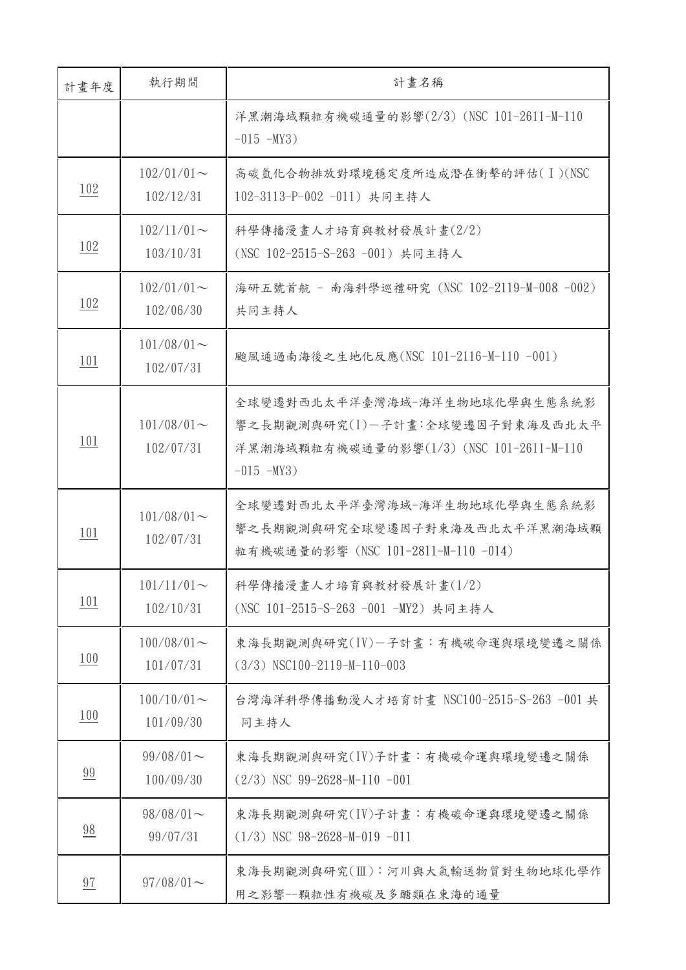| 計畫年度           | 執行期間                       | 計畫名稱                                                                                                                            |
|----------------|----------------------------|---------------------------------------------------------------------------------------------------------------------------------|
|                |                            | 洋黑潮海域顆粒有機碳通量的影響(2/3) (NSC 101-2611-M-110<br>$-015$ $-MY3$ )                                                                     |
| 102            | $102/01/01$ ~<br>102/12/31 | 高碳氫化合物排放對環境穩定度所造成潛在衝擊的評估(I)(NSC<br>102-3113-P-002 -011) 共同主持人                                                                   |
| <u>102</u>     | $102/11/01$ ~<br>103/10/31 | 科學傳播漫畫人才培育與教材發展計畫(2/2)<br>(NSC 102-2515-S-263 -001) 共同主持人                                                                       |
| 102            | $102/01/01$ ~<br>102/06/30 | 海研五號首航 - 南海科學巡禮研究 (NSC 102-2119-M-008 -002)<br>共同主持人                                                                            |
| <u>101</u>     | $101/08/01$ ~<br>102/07/31 | 颱風通過南海後之生地化反應(NSC 101-2116-M-110 -001)                                                                                          |
| 101            | $101/08/01$ ~<br>102/07/31 | 全球變遷對西北太平洋臺灣海域-海洋生物地球化學與生態系統影<br>響之長期觀測與研究(I)-子計畫:全球變遷因子對東海及西北太平<br>洋黑潮海域顆粒有機碳通量的影響(1/3) (NSC 101-2611-M-110<br>$-015$ $-MY3$ ) |
| 101            | $101/08/01$ ~<br>102/07/31 | 全球變遷對西北太平洋臺灣海域-海洋生物地球化學與生態系統影<br>響之長期觀測與研究全球變遷因子對東海及西北太平洋黑潮海域顆<br>粒有機碳通量的影響 (NSC 101-2811-M-110 -014)                           |
| <u>101</u>     | $101/11/01$ ~<br>102/10/31 | 科學傳播漫畫人才培育與教材發展計畫(1/2)<br>(NSC 101-2515-S-263 -001 -MY2) 共同主持人                                                                  |
| 100            | $100/08/01$ ~<br>101/07/31 | 東海長期觀測與研究(IV)-子計書:有機碳命運與環境變遷之關係<br>$(3/3)$ NSC100-2119-M-110-003                                                                |
| 100            | $100/10/01$ ~<br>101/09/30 | 台灣海洋科學傳播動漫人才培育計畫 NSC100-2515-S-263 -001 共<br>同主持人                                                                               |
| 99             | $99/08/01$ ~<br>100/09/30  | 東海長期觀測與研究(IV)子計畫:有機碳命運與環境變遷之關係<br>$(2/3)$ NSC 99-2628-M-110 -001                                                                |
| $\frac{98}{1}$ | $98/08/01$ ~<br>99/07/31   | 東海長期觀測與研究(IV)子計畫:有機碳命運與環境變遷之關係<br>$(1/3)$ NSC 98-2628-M-019 -011                                                                |
| 97             | $97/08/01$ ~               | 東海長期觀測與研究(Ⅲ): 河川與大氣輸送物質對生物地球化學作<br>用之影響--顆粒性有機碳及多醣類在東海的通量                                                                       |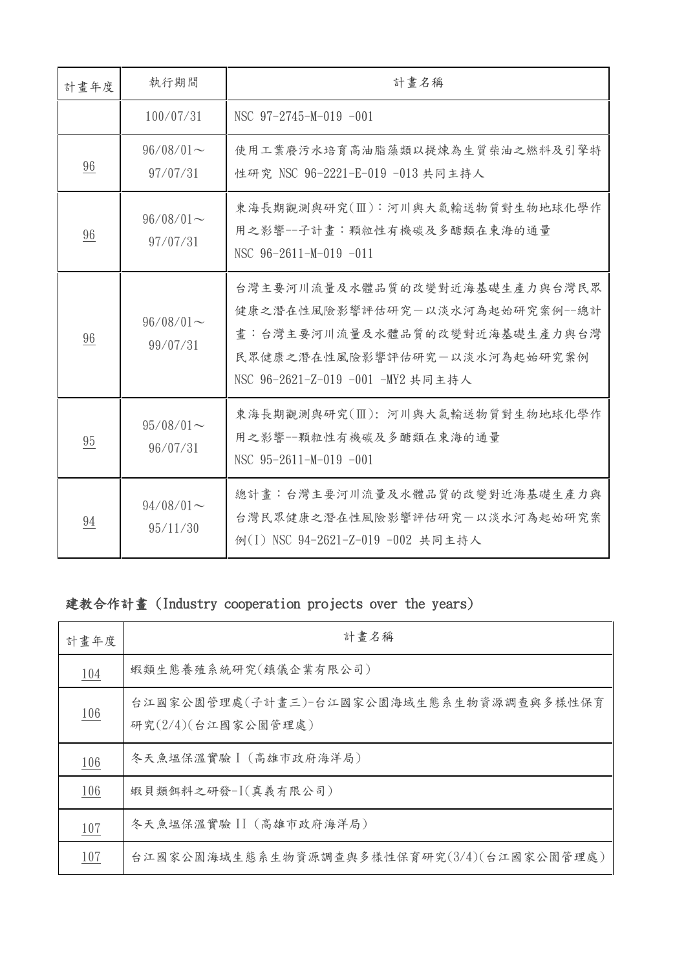| 計畫年度           | 執行期間                     | 計畫名稱                                                                                                                                                                  |
|----------------|--------------------------|-----------------------------------------------------------------------------------------------------------------------------------------------------------------------|
|                | 100/07/31                | NSC $97-2745-M-019 -001$                                                                                                                                              |
| 96             | $96/08/01$ ~<br>97/07/31 | 使用工業廢污水培育高油脂藻類以提煉為生質柴油之燃料及引擎特<br>性研究 NSC 96-2221-E-019 -013 共同主持人                                                                                                     |
| 96             | $96/08/01$ ~<br>97/07/31 | 東海長期觀測與研究(Ⅲ): 河川與大氣輸送物質對生物地球化學作<br>用之影響--子計畫:顆粒性有機碳及多醣類在東海的通量<br>NSC $96-2611-M-019$ -011                                                                             |
| $\frac{96}{5}$ | $96/08/01$ ~<br>99/07/31 | 台灣主要河川流量及水體品質的改變對近海基礎生產力與台灣民眾<br>健康之潛在性風險影響評估研究一以淡水河為起始研究案例--總計<br>畫:台灣主要河川流量及水體品質的改變對近海基礎生產力與台灣<br>民眾健康之潛在性風險影響評估研究一以淡水河為起始研究案例<br>NSC 96-2621-Z-019 -001 -MY2 共同主持人 |
| 95             | $95/08/01$ ~<br>96/07/31 | 東海長期觀測與研究(Ⅲ): 河川與大氣輸送物質對生物地球化學作<br>用之影響--顆粒性有機碳及多醣類在東海的通量<br>NSC $95-2611-M-019 -001$                                                                                 |
| <u>94</u>      | $94/08/01$ ~<br>95/11/30 | 總計畫:台灣主要河川流量及水體品質的改變對近海基礎生產力與<br>台灣民眾健康之潛在性風險影響評估研究一以淡水河為起始研究案<br>例(I) NSC 94-2621-Z-019 -002 共同主持人                                                                   |

## 建教合作計畫 (Industry cooperation projects over the years)

| 計畫年度       | 計畫名稱                                                          |
|------------|---------------------------------------------------------------|
| <u>104</u> | 蝦類生態養殖系統研究(鎮儀企業有限公司)                                          |
| <u>106</u> | 台江國家公園管理處(子計畫三)-台江國家公園海域生態系生物資源調查與多樣性保育<br>研究(2/4)(台江國家公園管理處) |
| <u>106</u> | 冬天魚塭保溫實驗 】 (高雄市政府海洋局)                                         |
| 106        | 蝦貝類餌料之研發-I(真義有限公司)                                            |
| 107        | 冬天魚塭保溫實驗 II (高雄市政府海洋局)                                        |
| 107        | 台江國家公園海域生態系生物資源調查與多樣性保育研究(3/4)(台江國家公園管理處)                     |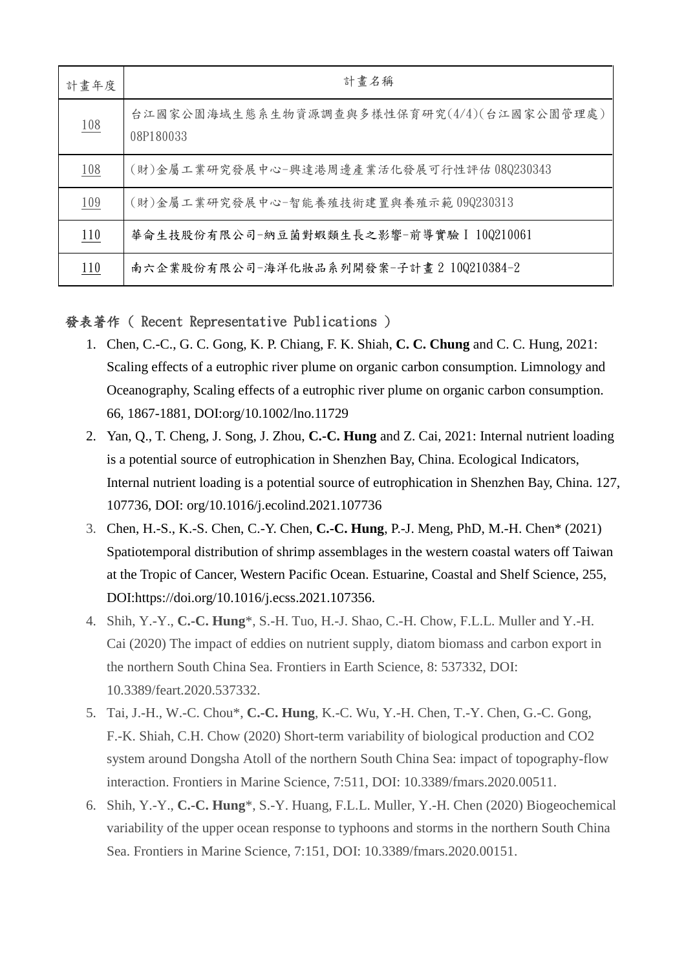| 計畫年度       | 計畫名稱                                                   |
|------------|--------------------------------------------------------|
| <u>108</u> | 台江國家公園海域生態系生物資源調查與多樣性保育研究(4/4)(台江國家公園管理處)<br>08P180033 |
| 108        | (財)金屬工業研究發展中心-興達港周邊產業活化發展可行性評估 08Q230343               |
| 109        | (財)金屬工業研究發展中心-智能養殖技術建置與養殖示範09Q230313                   |
| 110        | 華侖生技股份有限公司-納豆菌對蝦類生長之影響-前導實驗 I 10Q210061                |
| 110        | 南六企業股份有限公司-海洋化妝品系列開發案-子計畫 2 10Q210384-2                |

### 發表著作 ( Recent Representative Publications )

- 1. Chen, C.-C., G. C. Gong, K. P. Chiang, F. K. Shiah, **C. C. Chung** and C. C. Hung, 2021: Scaling effects of a eutrophic river plume on organic carbon consumption. Limnology and Oceanography, Scaling effects of a eutrophic river plume on organic carbon consumption. 66, 1867-1881, DOI:org/10.1002/lno.11729
- 2. Yan, Q., T. Cheng, J. Song, J. Zhou, **C.-C. Hung** and Z. Cai, 2021: Internal nutrient loading is a potential source of eutrophication in Shenzhen Bay, China. Ecological Indicators, Internal nutrient loading is a potential source of eutrophication in Shenzhen Bay, China. 127, 107736, DOI: org/10.1016/j.ecolind.2021.107736
- 3. Chen, H.-S., K.-S. Chen, C.-Y. Chen, **C.-C. Hung**, P.-J. Meng, PhD, M.-H. Chen\* (2021) Spatiotemporal distribution of shrimp assemblages in the western coastal waters off Taiwan at the Tropic of Cancer, Western Pacific Ocean. Estuarine, Coastal and Shelf Science, 255, DOI:https://doi.org/10.1016/j.ecss.2021.107356.
- 4. Shih, Y.-Y., **C.-C. Hung**\*, S.-H. Tuo, H.-J. Shao, C.-H. Chow, F.L.L. Muller and Y.-H. Cai (2020) The impact of eddies on nutrient supply, diatom biomass and carbon export in the northern South China Sea. Frontiers in Earth Science, 8: 537332, DOI: 10.3389/feart.2020.537332.
- 5. Tai, J.-H., W.-C. Chou\*, **C.-C. Hung**, K.-C. Wu, Y.-H. Chen, T.-Y. Chen, G.-C. Gong, F.-K. Shiah, C.H. Chow (2020) Short-term variability of biological production and CO2 system around Dongsha Atoll of the northern South China Sea: impact of topography-flow interaction. Frontiers in Marine Science, 7:511, DOI: 10.3389/fmars.2020.00511.
- 6. Shih, Y.-Y., **C.-C. Hung**\*, S.-Y. Huang, F.L.L. Muller, Y.-H. Chen (2020) Biogeochemical variability of the upper ocean response to typhoons and storms in the northern South China Sea. Frontiers in Marine Science, 7:151, DOI: 10.3389/fmars.2020.00151.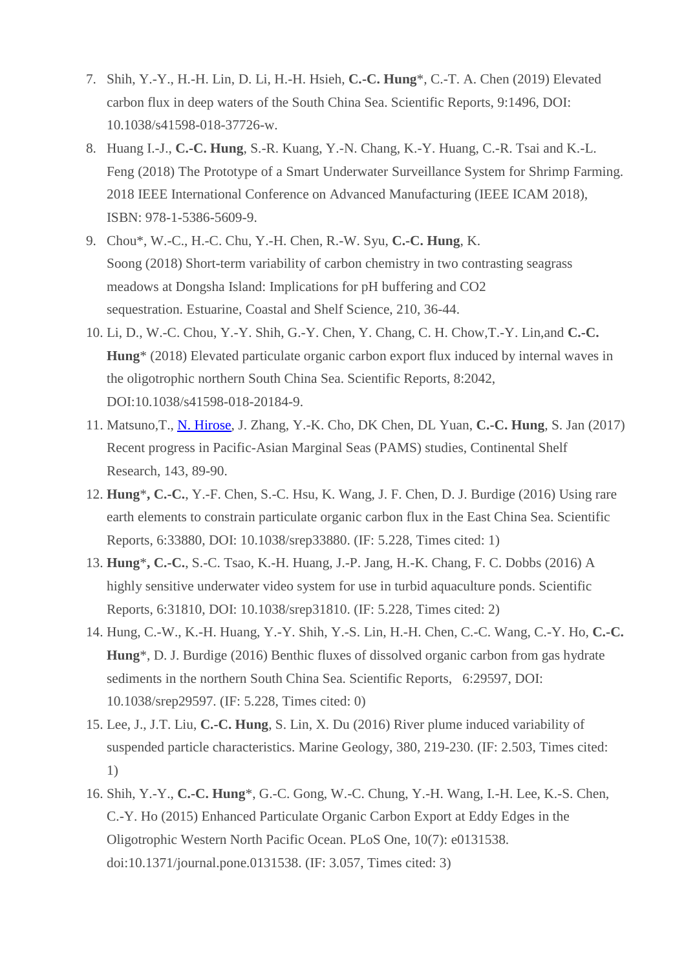- 7. Shih, Y.-Y., H.-H. Lin, D. Li, H.-H. Hsieh, **C.-C. Hung**\*, C.-T. A. Chen (2019) Elevated carbon flux in deep waters of the South China Sea. Scientific Reports, 9:1496, DOI: 10.1038/s41598-018-37726-w.
- 8. Huang I.-J., **C.-C. Hung**, S.-R. Kuang, Y.-N. Chang, K.-Y. Huang, C.-R. Tsai and K.-L. Feng (2018) The Prototype of a Smart Underwater Surveillance System for Shrimp Farming. 2018 IEEE International Conference on Advanced Manufacturing (IEEE ICAM 2018), ISBN: 978-1-5386-5609-9.
- 9. Chou\*, W.-C., H.-C. Chu, Y.-H. Chen, R.-W. Syu, **C.-C. Hung**, K. Soong (2018) Short-term variability of carbon chemistry in two contrasting seagrass meadows at Dongsha Island: Implications for pH buffering and CO2 sequestration. Estuarine, Coastal and Shelf Science, 210, 36-44.
- 10. Li, D., W.-C. Chou, Y.-Y. Shih, G.-Y. Chen, Y. Chang, C. H. Chow,T.-Y. Lin,and **C.-C. Hung**\* (2018) Elevated particulate organic carbon export flux induced by internal waves in the oligotrophic northern South China Sea. Scientific Reports, 8:2042, DOI:10.1038/s41598-018-20184-9.
- 11. Matsuno,T., [N. Hirose,](https://kyushu-u.pure.elsevier.com/en/persons/naoki-hirose) J. Zhang, Y.-K. Cho, DK Chen, DL Yuan, **C.-C. Hung**, S. Jan (2017) Recent progress in Pacific-Asian Marginal Seas (PAMS) studies, Continental Shelf Research, 143, 89-90.
- 12. **Hung**\***, C.-C.**, Y.-F. Chen, S.-C. Hsu, K. Wang, J. F. Chen, D. J. Burdige (2016) Using rare earth elements to constrain particulate organic carbon flux in the East China Sea. Scientific Reports, 6:33880, DOI: 10.1038/srep33880. (IF: 5.228, Times cited: 1)
- 13. **Hung**\***, C.-C.**, S.-C. Tsao, K.-H. Huang, J.-P. Jang, H.-K. Chang, F. C. Dobbs (2016) A highly sensitive underwater video system for use in turbid aquaculture ponds. Scientific Reports, 6:31810, DOI: 10.1038/srep31810. (IF: 5.228, Times cited: 2)
- 14. Hung, C.-W., K.-H. Huang, Y.-Y. Shih, Y.-S. Lin, H.-H. Chen, C.-C. Wang, C.-Y. Ho, **C.-C. Hung**\*, D. J. Burdige (2016) Benthic fluxes of dissolved organic carbon from gas hydrate sediments in the northern South China Sea. Scientific Reports, 6:29597, DOI: 10.1038/srep29597. (IF: 5.228, Times cited: 0)
- 15. Lee, J., J.T. Liu, **C.-C. Hung**, S. Lin, X. Du (2016) River plume induced variability of suspended particle characteristics. Marine Geology, 380, 219-230. (IF: 2.503, Times cited: 1)
- 16. Shih, Y.-Y., **C.-C. Hung**\*, G.-C. Gong, W.-C. Chung, Y.-H. Wang, I.-H. Lee, K.-S. Chen, C.-Y. Ho (2015) Enhanced Particulate Organic Carbon Export at Eddy Edges in the Oligotrophic Western North Pacific Ocean. PLoS One, 10(7): e0131538. doi:10.1371/journal.pone.0131538. (IF: 3.057, Times cited: 3)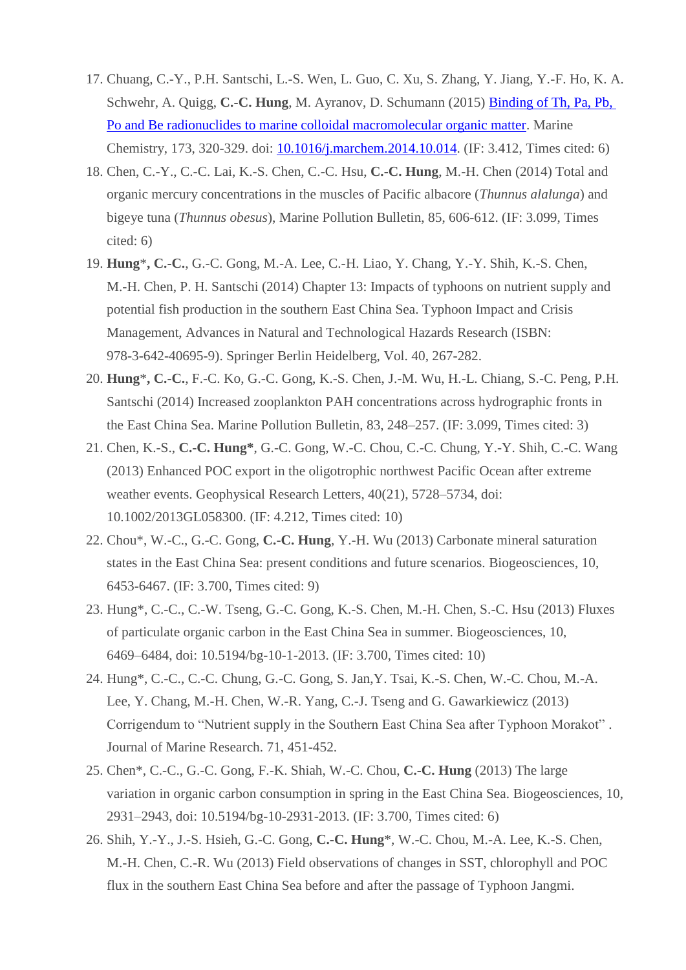- 17. Chuang, C.-Y., P.H. Santschi, L.-S. Wen, L. Guo, C. Xu, S. Zhang, Y. Jiang, Y.-F. Ho, K. A. Schwehr, A. Quigg, **C.-C. Hung**, M. Ayranov, D. Schumann (2015) [Binding of Th, Pa, Pb,](http://www.sciencedirect.com/science/article/pii/S0304420314002072)  [Po and Be radionuclides to marine colloidal macromolecular organic matter.](http://www.sciencedirect.com/science/article/pii/S0304420314002072) Marine Chemistry, 173, 320-329. doi: [10.1016/j.marchem.2014.10.014.](http://www.sciencedirect.com/science/article/pii/S0304420314002072) (IF: 3.412, Times cited: 6)
- 18. Chen, C.-Y., C.-C. Lai, K.-S. Chen, C.-C. Hsu, **C.-C. Hung**, M.-H. Chen (2014) Total and organic mercury concentrations in the muscles of Pacific albacore (*Thunnus alalunga*) and bigeye tuna (*Thunnus obesus*), Marine Pollution Bulletin, 85, 606-612. (IF: 3.099, Times cited: 6)
- 19. **Hung**\***, C.-C.**, G.-C. Gong, M.-A. Lee, C.-H. Liao, Y. Chang, Y.-Y. Shih, K.-S. Chen, M.-H. Chen, P. H. Santschi (2014) Chapter 13: Impacts of typhoons on nutrient supply and potential fish production in the southern East China Sea. Typhoon Impact and Crisis Management, Advances in Natural and Technological Hazards Research (ISBN: 978-3-642-40695-9). Springer Berlin Heidelberg, Vol. 40, 267-282.
- 20. **Hung**\***, C.-C.**, F.-C. Ko, G.-C. Gong, K.-S. Chen, J.-M. Wu, H.-L. Chiang, S.-C. Peng, P.H. Santschi (2014) Increased zooplankton PAH concentrations across hydrographic fronts in the East China Sea. Marine Pollution Bulletin, 83, 248–257. (IF: 3.099, Times cited: 3)
- 21. Chen, K.-S., **C.-C. Hung\***, G.-C. Gong, W.-C. Chou, C.-C. Chung, Y.-Y. Shih, C.-C. Wang (2013) Enhanced POC export in the oligotrophic northwest Pacific Ocean after extreme weather events. Geophysical Research Letters, 40(21), 5728–5734, doi: 10.1002/2013GL058300. (IF: 4.212, Times cited: 10)
- 22. Chou\*, W.-C., G.-C. Gong, **C.-C. Hung**, Y.-H. Wu (2013) Carbonate mineral saturation states in the East China Sea: present conditions and future scenarios. Biogeosciences, 10, 6453-6467. (IF: 3.700, Times cited: 9)
- 23. Hung\*, C.-C., C.-W. Tseng, G.-C. Gong, K.-S. Chen, M.-H. Chen, S.-C. Hsu (2013) Fluxes of particulate organic carbon in the East China Sea in summer. Biogeosciences, 10, 6469–6484, doi: 10.5194/bg-10-1-2013. (IF: 3.700, Times cited: 10)
- 24. Hung\*, C.-C., C.-C. Chung, G.-C. Gong, S. Jan,Y. Tsai, K.-S. Chen, W.-C. Chou, M.-A. Lee, Y. Chang, M.-H. Chen, W.-R. Yang, C.-J. Tseng and G. Gawarkiewicz (2013) Corrigendum to "Nutrient supply in the Southern East China Sea after Typhoon Morakot" . Journal of Marine Research. 71, 451-452.
- 25. Chen\*, C.-C., G.-C. Gong, F.-K. Shiah, W.-C. Chou, **C.-C. Hung** (2013) The large variation in organic carbon consumption in spring in the East China Sea. Biogeosciences, 10, 2931–2943, doi: 10.5194/bg-10-2931-2013. (IF: 3.700, Times cited: 6)
- 26. Shih, Y.-Y., J.-S. Hsieh, G.-C. Gong, **C.-C. Hung**\*, W.-C. Chou, M.-A. Lee, K.-S. Chen, M.-H. Chen, C.-R. Wu (2013) Field observations of changes in SST, chlorophyll and POC flux in the southern East China Sea before and after the passage of Typhoon Jangmi.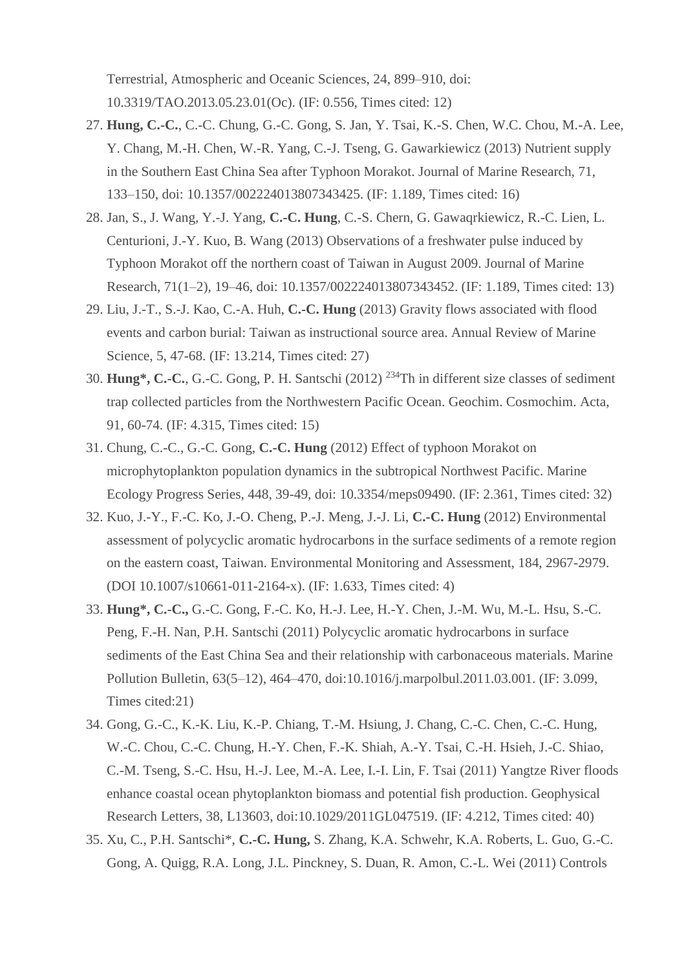Terrestrial, Atmospheric and Oceanic Sciences, 24, 899–910, doi: 10.3319/TAO.2013.05.23.01(Oc). (IF: 0.556, Times cited: 12)

- 27. **Hung, C.-C.**, C.-C. Chung, G.-C. Gong, S. Jan, Y. Tsai, K.-S. Chen, W.C. Chou, M.-A. Lee, Y. Chang, M.-H. Chen, W.-R. Yang, C.-J. Tseng, G. Gawarkiewicz (2013) Nutrient supply in the Southern East China Sea after Typhoon Morakot. Journal of Marine Research, 71, 133–150, doi: 10.1357/002224013807343425. (IF: 1.189, Times cited: 16)
- 28. Jan, S., J. Wang, Y.-J. Yang, **C.-C. Hung**, C.-S. Chern, G. Gawaqrkiewicz, R.-C. Lien, L. Centurioni, J.-Y. Kuo, B. Wang (2013) Observations of a freshwater pulse induced by Typhoon Morakot off the northern coast of Taiwan in August 2009. Journal of Marine Research, 71(1–2), 19–46, doi: 10.1357/002224013807343452. (IF: 1.189, Times cited: 13)
- 29. Liu, J.-T., S.-J. Kao, C.-A. Huh, **C.-C. Hung** (2013) Gravity flows associated with flood events and carbon burial: Taiwan as instructional source area. Annual Review of Marine Science, 5, 47-68. (IF: 13.214, Times cited: 27)
- 30. **Hung\*, C.-C.**, G.-C. Gong, P. H. Santschi (2012) <sup>234</sup>Th in different size classes of sediment trap collected particles from the Northwestern Pacific Ocean. Geochim. Cosmochim. Acta, 91, 60-74. (IF: 4.315, Times cited: 15)
- 31. Chung, C.-C., G.-C. Gong, **C.-C. Hung** (2012) Effect of typhoon Morakot on microphytoplankton population dynamics in the subtropical Northwest Pacific. Marine Ecology Progress Series, 448, 39-49, doi: 10.3354/meps09490. (IF: 2.361, Times cited: 32)
- 32. Kuo, J.-Y., F.-C. Ko, J.-O. Cheng, P.-J. Meng, J.-J. Li, **C.-C. Hung** (2012) Environmental assessment of polycyclic aromatic hydrocarbons in the surface sediments of a remote region on the eastern coast, Taiwan. Environmental Monitoring and Assessment, 184, 2967-2979. (DOI 10.1007/s10661-011-2164-x). (IF: 1.633, Times cited: 4)
- 33. **Hung\*, C.-C.,** G.-C. Gong, F.-C. Ko, H.-J. Lee, H.-Y. Chen, J.-M. Wu, M.-L. Hsu, S.-C. Peng, F.-H. Nan, P.H. Santschi (2011) Polycyclic aromatic hydrocarbons in surface sediments of the East China Sea and their relationship with carbonaceous materials. Marine Pollution Bulletin, 63(5–12), 464–470, doi:10.1016/j.marpolbul.2011.03.001. (IF: 3.099, Times cited:21)
- 34. Gong, G.-C., K.-K. Liu, K.-P. Chiang, T.-M. Hsiung, J. Chang, C.-C. Chen, C.-C. Hung, W.-C. Chou, C.-C. Chung, H.-Y. Chen, F.-K. Shiah, A.-Y. Tsai, C.-H. Hsieh, J.-C. Shiao, C.-M. Tseng, S.-C. Hsu, H.-J. Lee, M.-A. Lee, I.-I. Lin, F. Tsai (2011) Yangtze River floods enhance coastal ocean phytoplankton biomass and potential fish production. Geophysical Research Letters, 38, L13603, doi:10.1029/2011GL047519. (IF: 4.212, Times cited: 40)
- 35. Xu, C., P.H. Santschi\*, **C.-C. Hung,** S. Zhang, K.A. Schwehr, K.A. Roberts, L. Guo, G.-C. Gong, A. Quigg, R.A. Long, J.L. Pinckney, S. Duan, R. Amon, C.-L. Wei (2011) Controls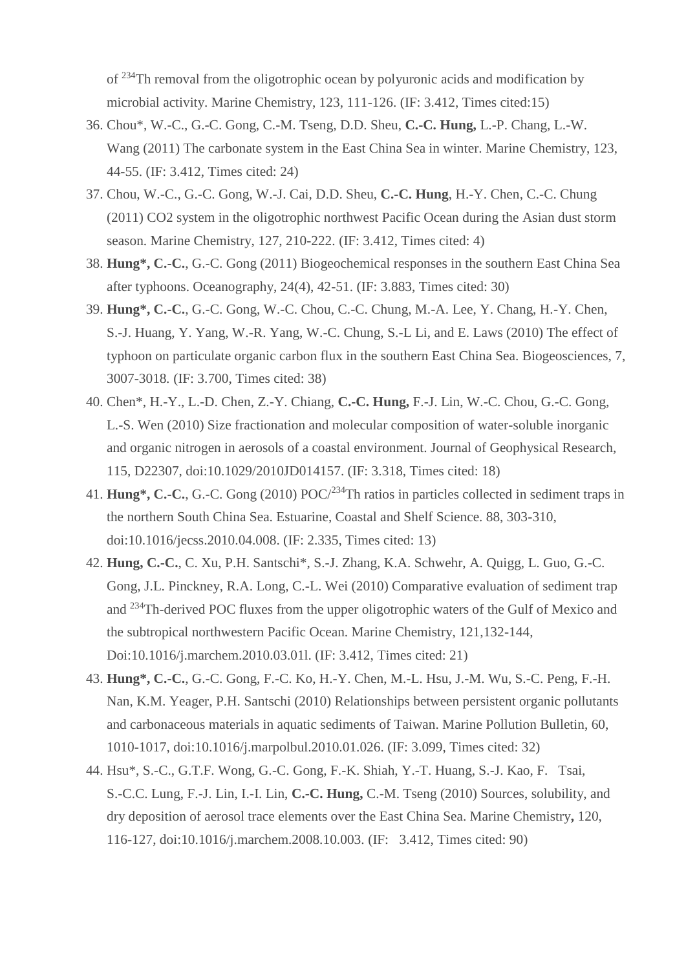of <sup>234</sup>Th removal from the oligotrophic ocean by polyuronic acids and modification by microbial activity. Marine Chemistry, 123, 111-126. (IF: 3.412, Times cited:15)

- 36. Chou\*, W.-C., G.-C. Gong, C.-M. Tseng, D.D. Sheu, **C.-C. Hung,** L.-P. Chang, L.-W. Wang (2011) The carbonate system in the East China Sea in winter. Marine Chemistry, 123, 44-55. (IF: 3.412, Times cited: 24)
- 37. Chou, W.-C., G.-C. Gong, W.-J. Cai, D.D. Sheu, **C.-C. Hung**, H.-Y. Chen, C.-C. Chung (2011) CO2 system in the oligotrophic northwest Pacific Ocean during the Asian dust storm season. Marine Chemistry, 127, 210-222. (IF: 3.412, Times cited: 4)
- 38. **Hung\*, C.-C.**, G.-C. Gong (2011) Biogeochemical responses in the southern East China Sea after typhoons. Oceanography, 24(4), 42-51. (IF: 3.883, Times cited: 30)
- 39. **Hung\*, C.-C.**, G.-C. Gong, W.-C. Chou, C.-C. Chung, M.-A. Lee, Y. Chang, H.-Y. Chen, S.-J. Huang, Y. Yang, W.-R. Yang, W.-C. Chung, S.-L Li, and E. Laws (2010) The effect of typhoon on particulate organic carbon flux in the southern East China Sea. Biogeosciences, 7, 3007-3018*.* (IF: 3.700, Times cited: 38)
- 40. Chen\*, H.-Y., L.-D. Chen, Z.-Y. Chiang, **C.-C. Hung,** F.-J. Lin, W.-C. Chou, G.-C. Gong, L.-S. Wen (2010) Size fractionation and molecular composition of water-soluble inorganic and organic nitrogen in aerosols of a coastal environment. Journal of Geophysical Research, 115, D22307, doi:10.1029/2010JD014157. (IF: 3.318, Times cited: 18)
- 41. **Hung\*, C.-C.**, G.-C. Gong (2010) POC/<sup>234</sup>Th ratios in particles collected in sediment traps in the northern South China Sea. Estuarine, Coastal and Shelf Science. 88, 303-310, doi:10.1016/jecss.2010.04.008. (IF: 2.335, Times cited: 13)
- 42. **Hung, C.-C.**, C. Xu, P.H. Santschi\*, S.-J. Zhang, K.A. Schwehr, A. Quigg, L. Guo, G.-C. Gong, J.L. Pinckney, R.A. Long, C.-L. Wei (2010) Comparative evaluation of sediment trap and <sup>234</sup>Th-derived POC fluxes from the upper oligotrophic waters of the Gulf of Mexico and the subtropical northwestern Pacific Ocean. Marine Chemistry, 121,132-144, Doi:10.1016/j.marchem.2010.03.01l. (IF: 3.412, Times cited: 21)
- 43. **Hung\*, C.-C.**, G.-C. Gong, F.-C. Ko, H.-Y. Chen, M.-L. Hsu, J.-M. Wu, S.-C. Peng, F.-H. Nan, K.M. Yeager, P.H. Santschi (2010) Relationships between persistent organic pollutants and carbonaceous materials in aquatic sediments of Taiwan. Marine Pollution Bulletin, 60, 1010-1017, doi:10.1016/j.marpolbul.2010.01.026. (IF: 3.099, Times cited: 32)
- 44. Hsu\*, S.-C., G.T.F. Wong, G.-C. Gong, F.-K. Shiah, Y.-T. Huang, S.-J. Kao, F. Tsai, S.-C.C. Lung, F.-J. Lin, I.-I. Lin, **C.-C. Hung,** C.-M. Tseng (2010) Sources, solubility, and dry deposition of aerosol trace elements over the East China Sea. Marine Chemistry**,** 120, 116-127, doi:10.1016/j.marchem.2008.10.003. (IF: 3.412, Times cited: 90)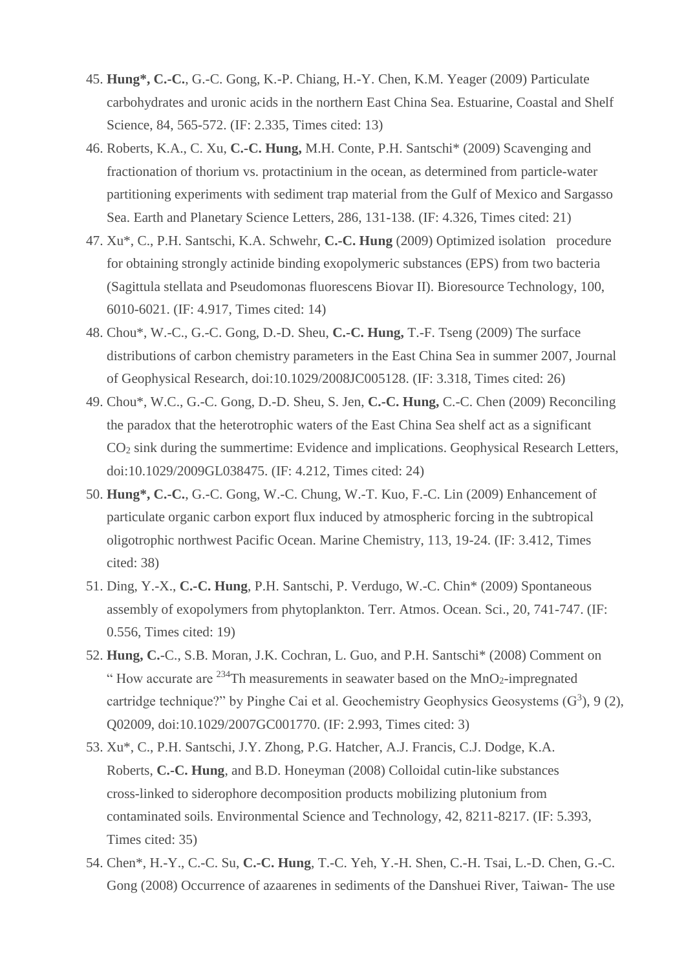- 45. **Hung\*, C.-C.**, G.-C. Gong, K.-P. Chiang, H.-Y. Chen, K.M. Yeager (2009) Particulate carbohydrates and uronic acids in the northern East China Sea. Estuarine, Coastal and Shelf Science, 84, 565-572. (IF: 2.335, Times cited: 13)
- 46. Roberts, K.A., C. Xu, **C.-C. Hung,** M.H. Conte, P.H. Santschi\* (2009) Scavenging and fractionation of thorium vs. protactinium in the ocean, as determined from particle-water partitioning experiments with sediment trap material from the Gulf of Mexico and Sargasso Sea. Earth and Planetary Science Letters, 286, 131-138. (IF: 4.326, Times cited: 21)
- 47. Xu\*, C., P.H. Santschi, K.A. Schwehr, **C.-C. Hung** (2009) Optimized isolation procedure for obtaining strongly actinide binding exopolymeric substances (EPS) from two bacteria (Sagittula stellata and Pseudomonas fluorescens Biovar II). Bioresource Technology, 100, 6010-6021. (IF: 4.917, Times cited: 14)
- 48. Chou\*, W.-C., G.-C. Gong, D.-D. Sheu, **C.-C. Hung,** T.-F. Tseng (2009) The surface distributions of carbon chemistry parameters in the East China Sea in summer 2007, Journal of Geophysical Research, doi:10.1029/2008JC005128. (IF: 3.318, Times cited: 26)
- 49. Chou\*, W.C., G.-C. Gong, D.-D. Sheu, S. Jen, **C.-C. Hung,** C.-C. Chen (2009) Reconciling the paradox that the heterotrophic waters of the East China Sea shelf act as a significant CO<sup>2</sup> sink during the summertime: Evidence and implications. Geophysical Research Letters, doi:10.1029/2009GL038475. (IF: 4.212, Times cited: 24)
- 50. **Hung\*, C.-C.**, G.-C. Gong, W.-C. Chung, W.-T. Kuo, F.-C. Lin (2009) Enhancement of particulate organic carbon export flux induced by atmospheric forcing in the subtropical oligotrophic northwest Pacific Ocean. Marine Chemistry, 113, 19-24. (IF: 3.412, Times cited: 38)
- 51. Ding, Y.-X., **C.-C. Hung**, P.H. Santschi, P. Verdugo, W.-C. Chin\* (2009) Spontaneous assembly of exopolymers from phytoplankton. Terr. Atmos. Ocean. Sci., 20, 741-747. (IF: 0.556, Times cited: 19)
- 52. **Hung, C.**-C., S.B. Moran, J.K. Cochran, L. Guo, and P.H. Santschi\* (2008) Comment on " How accurate are  $^{234}$ Th measurements in seawater based on the MnO<sub>2</sub>-impregnated cartridge technique?" by Pinghe Cai et al. Geochemistry Geophysics Geosystems  $(G^3)$ , 9 (2), Q02009, doi:10.1029/2007GC001770. (IF: 2.993, Times cited: 3)
- 53. Xu\*, C., P.H. Santschi, J.Y. Zhong, P.G. Hatcher, A.J. Francis, C.J. Dodge, K.A. Roberts, **C.-C. Hung**, and B.D. Honeyman (2008) Colloidal cutin-like substances cross-linked to siderophore decomposition products mobilizing plutonium from contaminated soils. Environmental Science and Technology, 42, 8211-8217. (IF: 5.393, Times cited: 35)
- 54. Chen\*, H.-Y., C.-C. Su, **C.-C. Hung**, T.-C. Yeh, Y.-H. Shen, C.-H. Tsai, L.-D. Chen, G.-C. Gong (2008) Occurrence of azaarenes in sediments of the Danshuei River, Taiwan- The use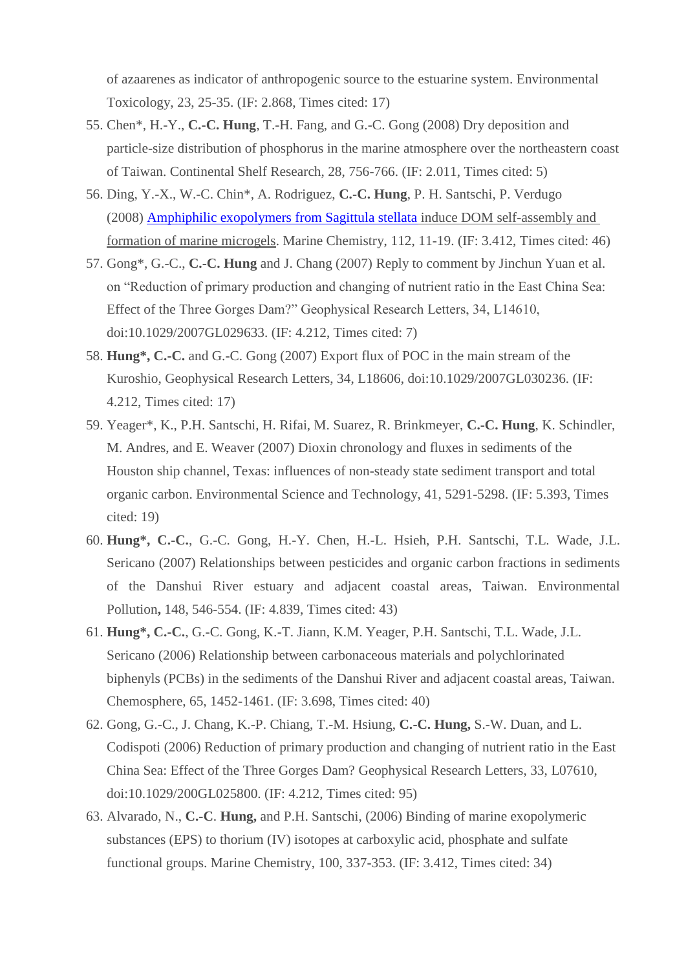of azaarenes as indicator of anthropogenic source to the estuarine system. Environmental Toxicology, 23, 25-35. (IF: 2.868, Times cited: 17)

- 55. Chen\*, H.-Y., **C.-C. Hung**, T.-H. Fang, and G.-C. Gong (2008) Dry deposition and particle-size distribution of phosphorus in the marine atmosphere over the northeastern coast of Taiwan. Continental Shelf Research, 28, 756-766. (IF: 2.011, Times cited: 5)
- 56. Ding, Y.-X., W.-C. Chin\*, A. Rodriguez, **C.-C. Hung**, P. H. Santschi, P. Verdugo (2008) [Amphiphilic exopolymers from Sagittula stellata](http://www.sciencedirect.com/science?_ob=ArticleURL&_udi=B6VC2-4SY6W91-4&_user=5416329&_coverDate=11%2F16%2F2008&_rdoc=3&_fmt=high&_orig=browse&_srch=doc-info(%23toc%235942%232008%23998879998%23701711%23FLA%23display%23Volume)&_cdi=5942&_sort=d&_docanchor=&_ct=15&_acct=C000051950&_version=1&_urlVersion=0&_userid=5416329&md5=5990ac566eb80cc0f434b74c399edb8d) induce DOM self-assembly and [formation of marine microgels.](http://www.sciencedirect.com/science?_ob=ArticleURL&_udi=B6VC2-4SY6W91-4&_user=5416329&_coverDate=11%2F16%2F2008&_rdoc=3&_fmt=high&_orig=browse&_srch=doc-info(%23toc%235942%232008%23998879998%23701711%23FLA%23display%23Volume)&_cdi=5942&_sort=d&_docanchor=&_ct=15&_acct=C000051950&_version=1&_urlVersion=0&_userid=5416329&md5=5990ac566eb80cc0f434b74c399edb8d) Marine Chemistry, 112, 11-19. (IF: 3.412, Times cited: 46)
- 57. Gong\*, G.-C., **C.-C. Hung** and J. Chang (2007) Reply to comment by Jinchun Yuan et al. on "Reduction of primary production and changing of nutrient ratio in the East China Sea: Effect of the Three Gorges Dam?" Geophysical Research Letters, 34, L14610, doi:10.1029/2007GL029633. (IF: 4.212, Times cited: 7)
- 58. **Hung\*, C.-C.** and G.-C. Gong (2007) Export flux of POC in the main stream of the Kuroshio, Geophysical Research Letters, 34, L18606, doi:10.1029/2007GL030236. (IF: 4.212, Times cited: 17)
- 59. Yeager\*, K., P.H. Santschi, H. Rifai, M. Suarez, R. Brinkmeyer, **C.-C. Hung**, K. Schindler, M. Andres, and E. Weaver (2007) Dioxin chronology and fluxes in sediments of the Houston ship channel, Texas: influences of non-steady state sediment transport and total organic carbon. Environmental Science and Technology, 41, 5291-5298. (IF: 5.393, Times cited: 19)
- 60. **Hung\*, C.-C.**, G.-C. Gong, H.-Y. Chen, H.-L. Hsieh, P.H. Santschi, T.L. Wade, J.L. Sericano (2007) Relationships between pesticides and organic carbon fractions in sediments of the Danshui River estuary and adjacent coastal areas, Taiwan. Environmental Pollution**,** 148, 546-554. (IF: 4.839, Times cited: 43)
- 61. **Hung\*, C.-C.**, G.-C. Gong, K.-T. Jiann, K.M. Yeager, P.H. Santschi, T.L. Wade, J.L. Sericano (2006) Relationship between carbonaceous materials and polychlorinated biphenyls (PCBs) in the sediments of the Danshui River and adjacent coastal areas, Taiwan. Chemosphere, 65, 1452-1461. (IF: 3.698, Times cited: 40)
- 62. Gong, G.-C., J. Chang, K.-P. Chiang, T.-M. Hsiung, **C.-C. Hung,** S.-W. Duan, and L. Codispoti (2006) Reduction of primary production and changing of nutrient ratio in the East China Sea: Effect of the Three Gorges Dam? Geophysical Research Letters, 33, L07610, doi:10.1029/200GL025800. (IF: 4.212, Times cited: 95)
- 63. Alvarado, N., **C.-C**. **Hung,** and P.H. Santschi, (2006) Binding of marine exopolymeric substances (EPS) to thorium (IV) isotopes at carboxylic acid, phosphate and sulfate functional groups. Marine Chemistry, 100, 337-353. (IF: 3.412, Times cited: 34)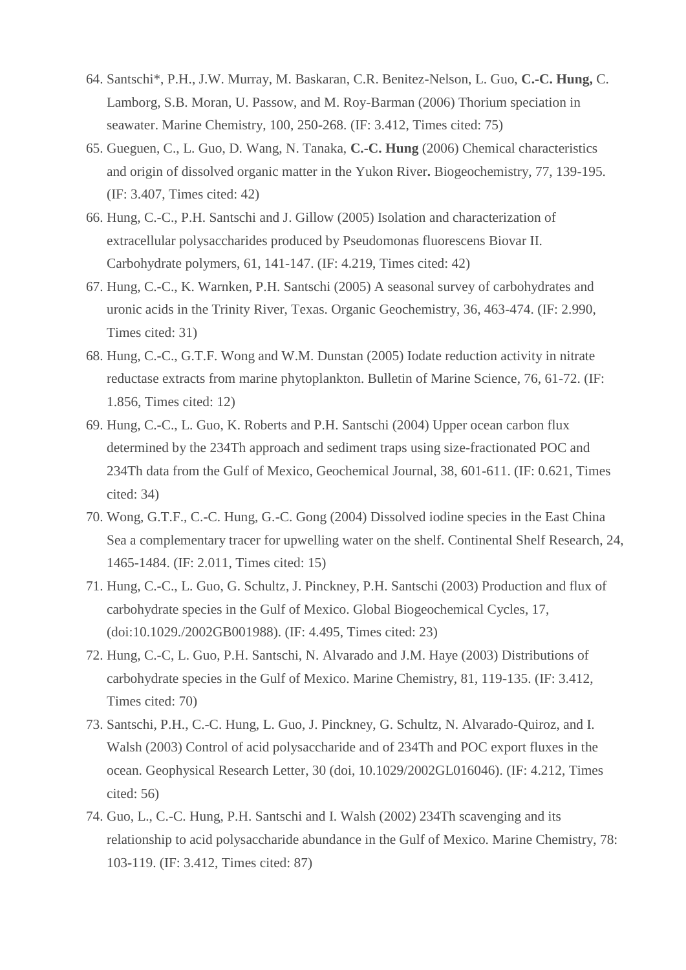- 64. Santschi\*, P.H., J.W. Murray, M. Baskaran, C.R. Benitez-Nelson, L. Guo, **C.-C. Hung,** C. Lamborg, S.B. Moran, U. Passow, and M. Roy-Barman (2006) Thorium speciation in seawater. Marine Chemistry, 100, 250-268. (IF: 3.412, Times cited: 75)
- 65. Gueguen, C., L. Guo, D. Wang, N. Tanaka, **C.-C. Hung** (2006) Chemical characteristics and origin of dissolved organic matter in the Yukon River**.** Biogeochemistry, 77, 139-195. (IF: 3.407, Times cited: 42)
- 66. Hung, C.-C., P.H. Santschi and J. Gillow (2005) Isolation and characterization of extracellular polysaccharides produced by Pseudomonas fluorescens Biovar II. Carbohydrate polymers, 61, 141-147. (IF: 4.219, Times cited: 42)
- 67. Hung, C.-C., K. Warnken, P.H. Santschi (2005) A seasonal survey of carbohydrates and uronic acids in the Trinity River, Texas. Organic Geochemistry, 36, 463-474. (IF: 2.990, Times cited: 31)
- 68. Hung, C.-C., G.T.F. Wong and W.M. Dunstan (2005) Iodate reduction activity in nitrate reductase extracts from marine phytoplankton. Bulletin of Marine Science, 76, 61-72. (IF: 1.856, Times cited: 12)
- 69. Hung, C.-C., L. Guo, K. Roberts and P.H. Santschi (2004) Upper ocean carbon flux determined by the 234Th approach and sediment traps using size-fractionated POC and 234Th data from the Gulf of Mexico, Geochemical Journal, 38, 601-611. (IF: 0.621, Times cited: 34)
- 70. Wong, G.T.F., C.-C. Hung, G.-C. Gong (2004) Dissolved iodine species in the East China Sea a complementary tracer for upwelling water on the shelf. Continental Shelf Research, 24, 1465-1484. (IF: 2.011, Times cited: 15)
- 71. Hung, C.-C., L. Guo, G. Schultz, J. Pinckney, P.H. Santschi (2003) Production and flux of carbohydrate species in the Gulf of Mexico. Global Biogeochemical Cycles, 17, (doi:10.1029./2002GB001988). (IF: 4.495, Times cited: 23)
- 72. Hung, C.-C, L. Guo, P.H. Santschi, N. Alvarado and J.M. Haye (2003) Distributions of carbohydrate species in the Gulf of Mexico. Marine Chemistry, 81, 119-135. (IF: 3.412, Times cited: 70)
- 73. Santschi, P.H., C.-C. Hung, L. Guo, J. Pinckney, G. Schultz, N. Alvarado-Quiroz, and I. Walsh (2003) Control of acid polysaccharide and of 234Th and POC export fluxes in the ocean. Geophysical Research Letter, 30 (doi, 10.1029/2002GL016046). (IF: 4.212, Times cited: 56)
- 74. Guo, L., C.-C. Hung, P.H. Santschi and I. Walsh (2002) 234Th scavenging and its relationship to acid polysaccharide abundance in the Gulf of Mexico. Marine Chemistry, 78: 103-119. (IF: 3.412, Times cited: 87)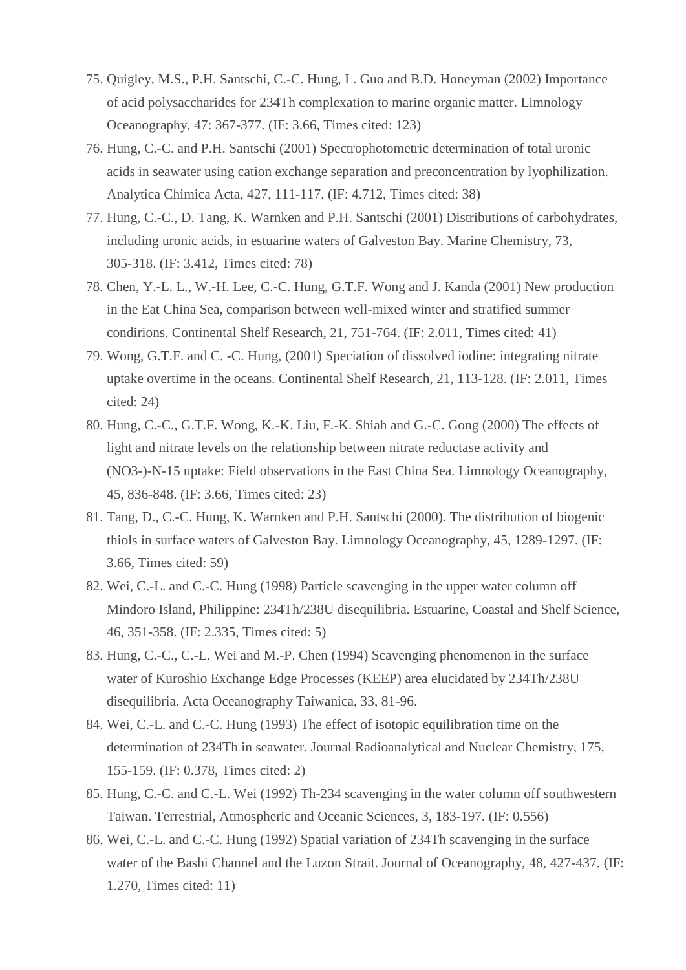- 75. Quigley, M.S., P.H. Santschi, C.-C. Hung, L. Guo and B.D. Honeyman (2002) Importance of acid polysaccharides for 234Th complexation to marine organic matter. Limnology Oceanography, 47: 367-377. (IF: 3.66, Times cited: 123)
- 76. Hung, C.-C. and P.H. Santschi (2001) Spectrophotometric determination of total uronic acids in seawater using cation exchange separation and preconcentration by lyophilization. Analytica Chimica Acta, 427, 111-117. (IF: 4.712, Times cited: 38)
- 77. Hung, C.-C., D. Tang, K. Warnken and P.H. Santschi (2001) Distributions of carbohydrates, including uronic acids, in estuarine waters of Galveston Bay. Marine Chemistry, 73, 305-318. (IF: 3.412, Times cited: 78)
- 78. Chen, Y.-L. L., W.-H. Lee, C.-C. Hung, G.T.F. Wong and J. Kanda (2001) New production in the Eat China Sea, comparison between well-mixed winter and stratified summer condirions. Continental Shelf Research, 21, 751-764. (IF: 2.011, Times cited: 41)
- 79. Wong, G.T.F. and C. -C. Hung, (2001) Speciation of dissolved iodine: integrating nitrate uptake overtime in the oceans. Continental Shelf Research, 21, 113-128. (IF: 2.011, Times cited: 24)
- 80. Hung, C.-C., G.T.F. Wong, K.-K. Liu, F.-K. Shiah and G.-C. Gong (2000) The effects of light and nitrate levels on the relationship between nitrate reductase activity and (NO3-)-N-15 uptake: Field observations in the East China Sea. Limnology Oceanography, 45, 836-848. (IF: 3.66, Times cited: 23)
- 81. Tang, D., C.-C. Hung, K. Warnken and P.H. Santschi (2000). The distribution of biogenic thiols in surface waters of Galveston Bay. Limnology Oceanography, 45, 1289-1297. (IF: 3.66, Times cited: 59)
- 82. Wei, C.-L. and C.-C. Hung (1998) Particle scavenging in the upper water column off Mindoro Island, Philippine: 234Th/238U disequilibria. Estuarine, Coastal and Shelf Science, 46, 351-358. (IF: 2.335, Times cited: 5)
- 83. Hung, C.-C., C.-L. Wei and M.-P. Chen (1994) Scavenging phenomenon in the surface water of Kuroshio Exchange Edge Processes (KEEP) area elucidated by 234Th/238U disequilibria. Acta Oceanography Taiwanica, 33, 81-96.
- 84. Wei, C.-L. and C.-C. Hung (1993) The effect of isotopic equilibration time on the determination of 234Th in seawater. Journal Radioanalytical and Nuclear Chemistry, 175, 155-159. (IF: 0.378, Times cited: 2)
- 85. Hung, C.-C. and C.-L. Wei (1992) Th-234 scavenging in the water column off southwestern Taiwan. Terrestrial, Atmospheric and Oceanic Sciences, 3, 183-197. (IF: 0.556)
- 86. Wei, C.-L. and C.-C. Hung (1992) Spatial variation of 234Th scavenging in the surface water of the Bashi Channel and the Luzon Strait. Journal of Oceanography, 48, 427-437. (IF: 1.270, Times cited: 11)